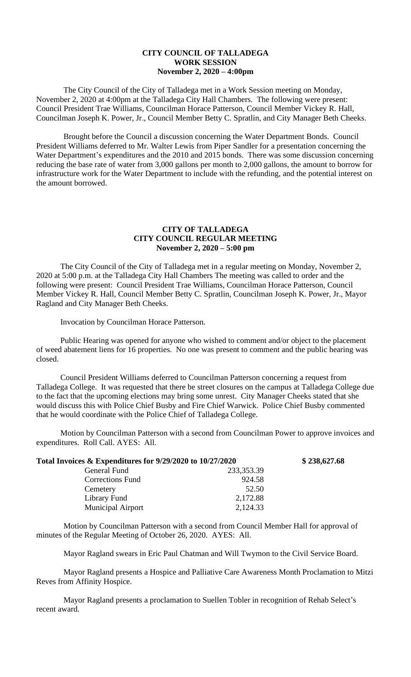## **CITY COUNCIL OF TALLADEGA WORK SESSION November 2, 2020 – 4:00pm**

The City Council of the City of Talladega met in a Work Session meeting on Monday, November 2, 2020 at 4:00pm at the Talladega City Hall Chambers. The following were present: Council President Trae Williams, Councilman Horace Patterson, Council Member Vickey R. Hall, Councilman Joseph K. Power, Jr., Council Member Betty C. Spratlin, and City Manager Beth Cheeks.

Brought before the Council a discussion concerning the Water Department Bonds. Council President Williams deferred to Mr. Walter Lewis from Piper Sandler for a presentation concerning the Water Department's expenditures and the 2010 and 2015 bonds. There was some discussion concerning reducing the base rate of water from 3,000 gallons per month to 2,000 gallons, the amount to borrow for infrastructure work for the Water Department to include with the refunding, and the potential interest on the amount borrowed.

## **CITY OF TALLADEGA CITY COUNCIL REGULAR MEETING November 2, 2020 – 5:00 pm**

The City Council of the City of Talladega met in a regular meeting on Monday, November 2, 2020 at 5:00 p.m. at the Talladega City Hall Chambers The meeting was called to order and the following were present: Council President Trae Williams, Councilman Horace Patterson, Council Member Vickey R. Hall, Council Member Betty C. Spratlin, Councilman Joseph K. Power, Jr., Mayor Ragland and City Manager Beth Cheeks.

Invocation by Councilman Horace Patterson.

Public Hearing was opened for anyone who wished to comment and/or object to the placement of weed abatement liens for 16 properties. No one was present to comment and the public hearing was closed.

Council President Williams deferred to Councilman Patterson concerning a request from Talladega College. It was requested that there be street closures on the campus at Talladega College due to the fact that the upcoming elections may bring some unrest. City Manager Cheeks stated that she would discuss this with Police Chief Busby and Fire Chief Warwick. Police Chief Busby commented that he would coordinate with the Police Chief of Talladega College.

Motion by Councilman Patterson with a second from Councilman Power to approve invoices and expenditures. Roll Call. AYES: All.

| Total Invoices & Expenditures for 9/29/2020 to 10/27/2020 |            | \$238,627.68 |
|-----------------------------------------------------------|------------|--------------|
| General Fund                                              | 233,353.39 |              |
| <b>Corrections Fund</b>                                   | 924.58     |              |
| Cemetery                                                  | 52.50      |              |
| Library Fund                                              | 2,172.88   |              |
| <b>Municipal Airport</b>                                  | 2,124.33   |              |

Motion by Councilman Patterson with a second from Council Member Hall for approval of minutes of the Regular Meeting of October 26, 2020. AYES: All.

Mayor Ragland swears in Eric Paul Chatman and Will Twymon to the Civil Service Board.

Mayor Ragland presents a Hospice and Palliative Care Awareness Month Proclamation to Mitzi Reves from Affinity Hospice.

Mayor Ragland presents a proclamation to Suellen Tobler in recognition of Rehab Select's recent award.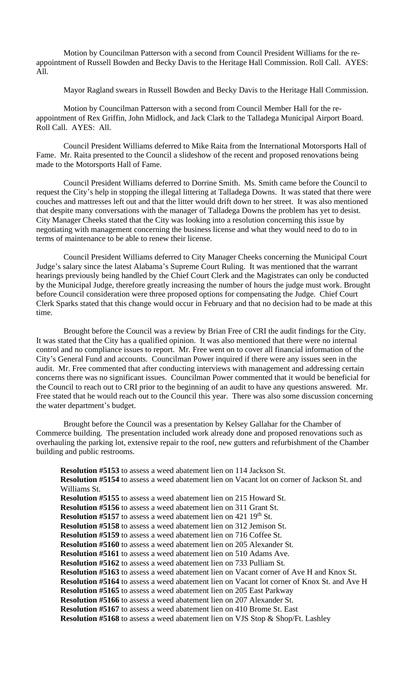Motion by Councilman Patterson with a second from Council President Williams for the reappointment of Russell Bowden and Becky Davis to the Heritage Hall Commission. Roll Call. AYES: All.

Mayor Ragland swears in Russell Bowden and Becky Davis to the Heritage Hall Commission.

Motion by Councilman Patterson with a second from Council Member Hall for the reappointment of Rex Griffin, John Midlock, and Jack Clark to the Talladega Municipal Airport Board. Roll Call. AYES: All.

Council President Williams deferred to Mike Raita from the International Motorsports Hall of Fame. Mr. Raita presented to the Council a slideshow of the recent and proposed renovations being made to the Motorsports Hall of Fame.

Council President Williams deferred to Dorrine Smith. Ms. Smith came before the Council to request the City's help in stopping the illegal littering at Talladega Downs. It was stated that there were couches and mattresses left out and that the litter would drift down to her street. It was also mentioned that despite many conversations with the manager of Talladega Downs the problem has yet to desist. City Manager Cheeks stated that the City was looking into a resolution concerning this issue by negotiating with management concerning the business license and what they would need to do to in terms of maintenance to be able to renew their license.

Council President Williams deferred to City Manager Cheeks concerning the Municipal Court Judge's salary since the latest Alabama's Supreme Court Ruling. It was mentioned that the warrant hearings previously being handled by the Chief Court Clerk and the Magistrates can only be conducted by the Municipal Judge, therefore greatly increasing the number of hours the judge must work. Brought before Council consideration were three proposed options for compensating the Judge. Chief Court Clerk Sparks stated that this change would occur in February and that no decision had to be made at this time.

Brought before the Council was a review by Brian Free of CRI the audit findings for the City. It was stated that the City has a qualified opinion. It was also mentioned that there were no internal control and no compliance issues to report. Mr. Free went on to cover all financial information of the City's General Fund and accounts. Councilman Power inquired if there were any issues seen in the audit. Mr. Free commented that after conducting interviews with management and addressing certain concerns there was no significant issues. Councilman Power commented that it would be beneficial for the Council to reach out to CRI prior to the beginning of an audit to have any questions answered. Mr. Free stated that he would reach out to the Council this year. There was also some discussion concerning the water department's budget.

Brought before the Council was a presentation by Kelsey Gallahar for the Chamber of Commerce building. The presentation included work already done and proposed renovations such as overhauling the parking lot, extensive repair to the roof, new gutters and refurbishment of the Chamber building and public restrooms.

**Resolution #5153** to assess a weed abatement lien on 114 Jackson St. **Resolution #5154** to assess a weed abatement lien on Vacant lot on corner of Jackson St. and Williams St. **Resolution #5155** to assess a weed abatement lien on 215 Howard St. **Resolution #5156** to assess a weed abatement lien on 311 Grant St. **Resolution #5157** to assess a weed abatement lien on 421 19<sup>th</sup> St. **Resolution #5158** to assess a weed abatement lien on 312 Jemison St. **Resolution #5159** to assess a weed abatement lien on 716 Coffee St. **Resolution #5160** to assess a weed abatement lien on 205 Alexander St. **Resolution #5161** to assess a weed abatement lien on 510 Adams Ave. **Resolution #5162** to assess a weed abatement lien on 733 Pulliam St. **Resolution #5163** to assess a weed abatement lien on Vacant corner of Ave H and Knox St. **Resolution #5164** to assess a weed abatement lien on Vacant lot corner of Knox St. and Ave H **Resolution #5165** to assess a weed abatement lien on 205 East Parkway **Resolution #5166** to assess a weed abatement lien on 207 Alexander St. **Resolution #5167** to assess a weed abatement lien on 410 Brome St. East **Resolution #5168** to assess a weed abatement lien on VJS Stop & Shop/Ft. Lashley